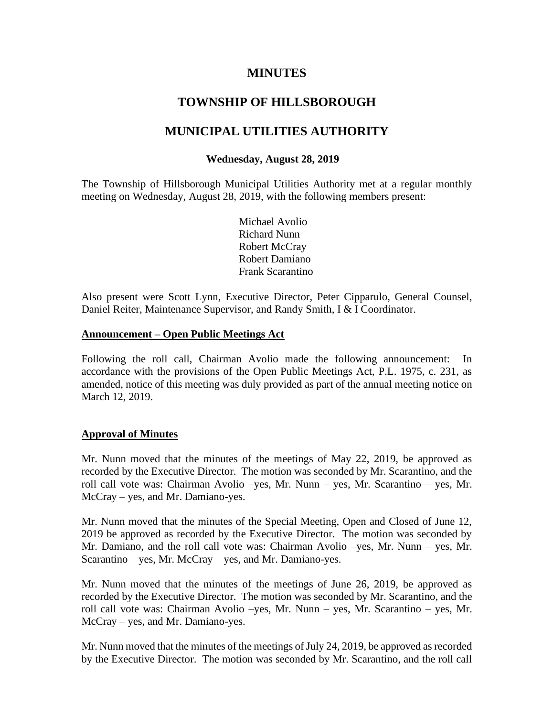# **MINUTES**

# **TOWNSHIP OF HILLSBOROUGH**

# **MUNICIPAL UTILITIES AUTHORITY**

### **Wednesday, August 28, 2019**

The Township of Hillsborough Municipal Utilities Authority met at a regular monthly meeting on Wednesday, August 28, 2019, with the following members present:

> Michael Avolio Richard Nunn Robert McCray Robert Damiano Frank Scarantino

Also present were Scott Lynn, Executive Director, Peter Cipparulo, General Counsel, Daniel Reiter, Maintenance Supervisor, and Randy Smith, I & I Coordinator.

#### **Announcement – Open Public Meetings Act**

Following the roll call, Chairman Avolio made the following announcement: In accordance with the provisions of the Open Public Meetings Act, P.L. 1975, c. 231, as amended, notice of this meeting was duly provided as part of the annual meeting notice on March 12, 2019.

#### **Approval of Minutes**

Mr. Nunn moved that the minutes of the meetings of May 22, 2019, be approved as recorded by the Executive Director. The motion was seconded by Mr. Scarantino, and the roll call vote was: Chairman Avolio –yes, Mr. Nunn – yes, Mr. Scarantino – yes, Mr. McCray – yes, and Mr. Damiano-yes.

Mr. Nunn moved that the minutes of the Special Meeting, Open and Closed of June 12, 2019 be approved as recorded by the Executive Director. The motion was seconded by Mr. Damiano, and the roll call vote was: Chairman Avolio –yes, Mr. Nunn – yes, Mr. Scarantino – yes, Mr. McCray – yes, and Mr. Damiano-yes.

Mr. Nunn moved that the minutes of the meetings of June 26, 2019, be approved as recorded by the Executive Director. The motion was seconded by Mr. Scarantino, and the roll call vote was: Chairman Avolio –yes, Mr. Nunn – yes, Mr. Scarantino – yes, Mr. McCray – yes, and Mr. Damiano-yes.

Mr. Nunn moved that the minutes of the meetings of July 24, 2019, be approved as recorded by the Executive Director. The motion was seconded by Mr. Scarantino, and the roll call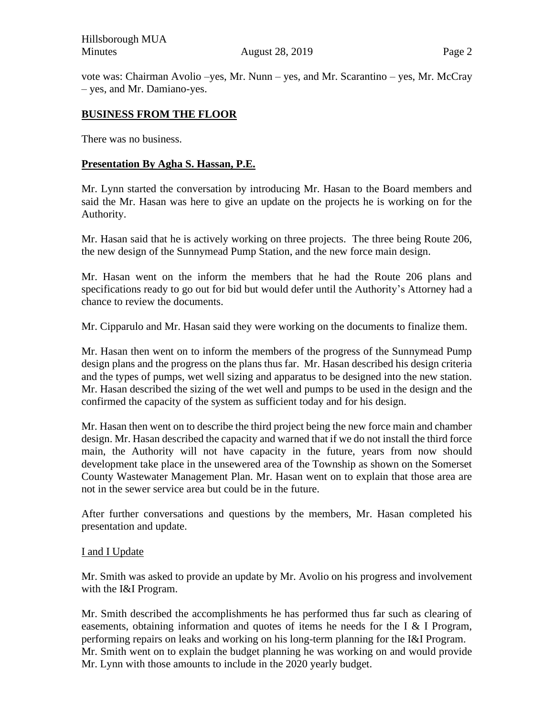Hillsborough MUA Minutes **August 28, 2019** Page 2

vote was: Chairman Avolio –yes, Mr. Nunn – yes, and Mr. Scarantino – yes, Mr. McCray – yes, and Mr. Damiano-yes.

#### **BUSINESS FROM THE FLOOR**

There was no business.

#### **Presentation By Agha S. Hassan, P.E.**

Mr. Lynn started the conversation by introducing Mr. Hasan to the Board members and said the Mr. Hasan was here to give an update on the projects he is working on for the Authority.

Mr. Hasan said that he is actively working on three projects. The three being Route 206, the new design of the Sunnymead Pump Station, and the new force main design.

Mr. Hasan went on the inform the members that he had the Route 206 plans and specifications ready to go out for bid but would defer until the Authority's Attorney had a chance to review the documents.

Mr. Cipparulo and Mr. Hasan said they were working on the documents to finalize them.

Mr. Hasan then went on to inform the members of the progress of the Sunnymead Pump design plans and the progress on the plans thus far. Mr. Hasan described his design criteria and the types of pumps, wet well sizing and apparatus to be designed into the new station. Mr. Hasan described the sizing of the wet well and pumps to be used in the design and the confirmed the capacity of the system as sufficient today and for his design.

Mr. Hasan then went on to describe the third project being the new force main and chamber design. Mr. Hasan described the capacity and warned that if we do not install the third force main, the Authority will not have capacity in the future, years from now should development take place in the unsewered area of the Township as shown on the Somerset County Wastewater Management Plan. Mr. Hasan went on to explain that those area are not in the sewer service area but could be in the future.

After further conversations and questions by the members, Mr. Hasan completed his presentation and update.

#### I and I Update

Mr. Smith was asked to provide an update by Mr. Avolio on his progress and involvement with the I&I Program.

Mr. Smith described the accomplishments he has performed thus far such as clearing of easements, obtaining information and quotes of items he needs for the I & I Program, performing repairs on leaks and working on his long-term planning for the I&I Program. Mr. Smith went on to explain the budget planning he was working on and would provide Mr. Lynn with those amounts to include in the 2020 yearly budget.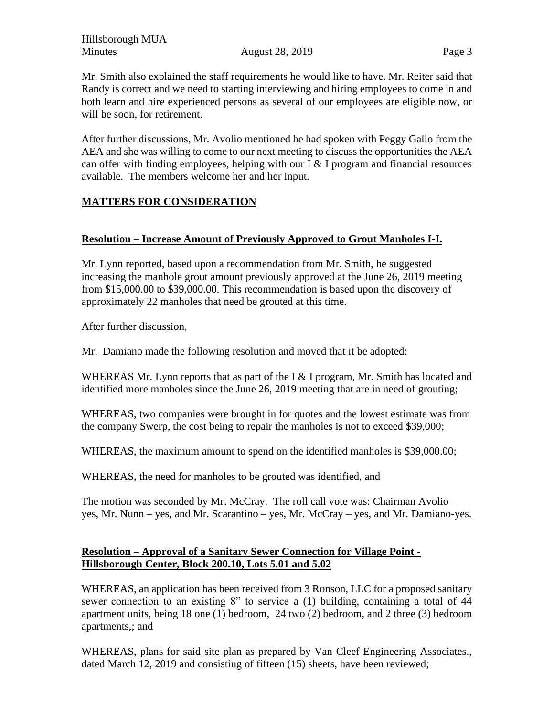Mr. Smith also explained the staff requirements he would like to have. Mr. Reiter said that Randy is correct and we need to starting interviewing and hiring employees to come in and both learn and hire experienced persons as several of our employees are eligible now, or will be soon, for retirement.

After further discussions, Mr. Avolio mentioned he had spoken with Peggy Gallo from the AEA and she was willing to come to our next meeting to discuss the opportunities the AEA can offer with finding employees, helping with our I  $&$  I program and financial resources available. The members welcome her and her input.

# **MATTERS FOR CONSIDERATION**

## **Resolution – Increase Amount of Previously Approved to Grout Manholes I-I.**

Mr. Lynn reported, based upon a recommendation from Mr. Smith, he suggested increasing the manhole grout amount previously approved at the June 26, 2019 meeting from \$15,000.00 to \$39,000.00. This recommendation is based upon the discovery of approximately 22 manholes that need be grouted at this time.

After further discussion,

Mr. Damiano made the following resolution and moved that it be adopted:

WHEREAS Mr. Lynn reports that as part of the I & I program, Mr. Smith has located and identified more manholes since the June 26, 2019 meeting that are in need of grouting;

WHEREAS, two companies were brought in for quotes and the lowest estimate was from the company Swerp, the cost being to repair the manholes is not to exceed \$39,000;

WHEREAS, the maximum amount to spend on the identified manholes is \$39,000.00;

WHEREAS, the need for manholes to be grouted was identified, and

The motion was seconded by Mr. McCray. The roll call vote was: Chairman Avolio – yes, Mr. Nunn – yes, and Mr. Scarantino – yes, Mr. McCray – yes, and Mr. Damiano-yes.

## **Resolution – Approval of a Sanitary Sewer Connection for Village Point - Hillsborough Center, Block 200.10, Lots 5.01 and 5.02**

WHEREAS, an application has been received from 3 Ronson, LLC for a proposed sanitary sewer connection to an existing 8" to service a (1) building, containing a total of 44 apartment units, being 18 one (1) bedroom, 24 two (2) bedroom, and 2 three (3) bedroom apartments,; and

WHEREAS, plans for said site plan as prepared by Van Cleef Engineering Associates., dated March 12, 2019 and consisting of fifteen (15) sheets, have been reviewed;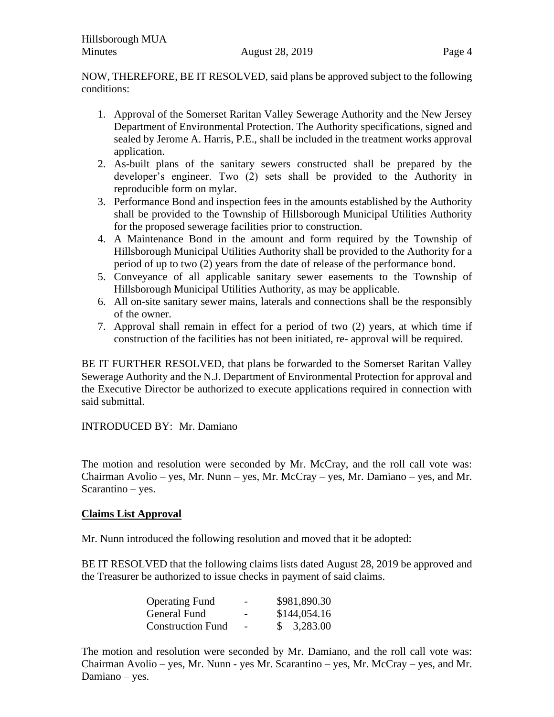NOW, THEREFORE, BE IT RESOLVED, said plans be approved subject to the following conditions:

- 1. Approval of the Somerset Raritan Valley Sewerage Authority and the New Jersey Department of Environmental Protection. The Authority specifications, signed and sealed by Jerome A. Harris, P.E., shall be included in the treatment works approval application.
- 2. As-built plans of the sanitary sewers constructed shall be prepared by the developer's engineer. Two (2) sets shall be provided to the Authority in reproducible form on mylar.
- 3. Performance Bond and inspection fees in the amounts established by the Authority shall be provided to the Township of Hillsborough Municipal Utilities Authority for the proposed sewerage facilities prior to construction.
- 4. A Maintenance Bond in the amount and form required by the Township of Hillsborough Municipal Utilities Authority shall be provided to the Authority for a period of up to two (2) years from the date of release of the performance bond.
- 5. Conveyance of all applicable sanitary sewer easements to the Township of Hillsborough Municipal Utilities Authority, as may be applicable.
- 6. All on-site sanitary sewer mains, laterals and connections shall be the responsibly of the owner.
- 7. Approval shall remain in effect for a period of two (2) years, at which time if construction of the facilities has not been initiated, re- approval will be required.

BE IT FURTHER RESOLVED, that plans be forwarded to the Somerset Raritan Valley Sewerage Authority and the N.J. Department of Environmental Protection for approval and the Executive Director be authorized to execute applications required in connection with said submittal.

INTRODUCED BY: Mr. Damiano

The motion and resolution were seconded by Mr. McCray, and the roll call vote was: Chairman Avolio – yes, Mr. Nunn – yes, Mr. McCray – yes, Mr. Damiano – yes, and Mr. Scarantino – yes.

## **Claims List Approval**

Mr. Nunn introduced the following resolution and moved that it be adopted:

BE IT RESOLVED that the following claims lists dated August 28, 2019 be approved and the Treasurer be authorized to issue checks in payment of said claims.

| <b>Operating Fund</b>    | - | \$981,890.30 |
|--------------------------|---|--------------|
| General Fund             | - | \$144,054.16 |
| <b>Construction Fund</b> |   | \$3,283.00   |

The motion and resolution were seconded by Mr. Damiano, and the roll call vote was: Chairman Avolio – yes, Mr. Nunn - yes Mr. Scarantino – yes, Mr. McCray – yes, and Mr. Damiano – yes.